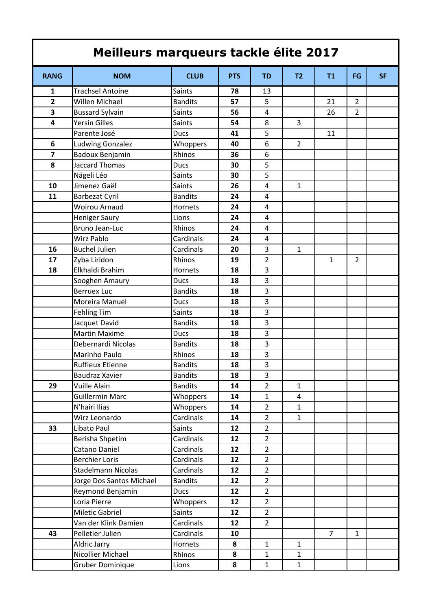| Meilleurs marqueurs tackle élite 2017 |                           |                |            |                |                |                |                |           |  |  |
|---------------------------------------|---------------------------|----------------|------------|----------------|----------------|----------------|----------------|-----------|--|--|
| <b>RANG</b>                           | <b>NOM</b>                | <b>CLUB</b>    | <b>PTS</b> | <b>TD</b>      | T <sub>2</sub> | T1             | <b>FG</b>      | <b>SF</b> |  |  |
| $\mathbf{1}$                          | <b>Trachsel Antoine</b>   | <b>Saints</b>  | 78         | 13             |                |                |                |           |  |  |
| $\overline{\mathbf{2}}$               | Willen Michael            | <b>Bandits</b> | 57         | 5              |                | 21             | $\overline{2}$ |           |  |  |
| 3                                     | <b>Bussard Sylvain</b>    | <b>Saints</b>  | 56         | 4              |                | 26             | $\overline{2}$ |           |  |  |
| 4                                     | <b>Yersin Gilles</b>      | <b>Saints</b>  | 54         | 8              | 3              |                |                |           |  |  |
|                                       | Parente José              | <b>Ducs</b>    | 41         | 5              |                | 11             |                |           |  |  |
| 6                                     | <b>Ludwing Gonzalez</b>   | Whoppers       | 40         | 6              | $\overline{2}$ |                |                |           |  |  |
| 7                                     | Badoux Benjamin           | Rhinos         | 36         | 6              |                |                |                |           |  |  |
| 8                                     | <b>Jaccard Thomas</b>     | <b>Ducs</b>    | 30         | 5              |                |                |                |           |  |  |
|                                       | Nägeli Léo                | <b>Saints</b>  | 30         | 5              |                |                |                |           |  |  |
| 10                                    | Jimenez Gaël              | <b>Saints</b>  | 26         | 4              | $\mathbf{1}$   |                |                |           |  |  |
| 11                                    | <b>Barbezat Cyril</b>     | <b>Bandits</b> | 24         | 4              |                |                |                |           |  |  |
|                                       | <b>Woirou Arnaud</b>      | <b>Hornets</b> | 24         | 4              |                |                |                |           |  |  |
|                                       | <b>Heniger Saury</b>      | Lions          | 24         | 4              |                |                |                |           |  |  |
|                                       | Bruno Jean-Luc            | Rhinos         | 24         | 4              |                |                |                |           |  |  |
|                                       | <b>Wirz Pablo</b>         | Cardinals      | 24         | 4              |                |                |                |           |  |  |
| 16                                    | <b>Buchel Julien</b>      | Cardinals      | 20         | 3              | $\mathbf{1}$   |                |                |           |  |  |
| 17                                    | Zyba Liridon              | Rhinos         | 19         | $\overline{2}$ |                | $\mathbf{1}$   | $\overline{2}$ |           |  |  |
| 18                                    | Elkhaldi Brahim           | <b>Hornets</b> | 18         | 3              |                |                |                |           |  |  |
|                                       | Sooghen Amaury            | Ducs           | 18         | 3              |                |                |                |           |  |  |
|                                       | <b>Berruex Luc</b>        | <b>Bandits</b> | 18         | 3              |                |                |                |           |  |  |
|                                       | Moreira Manuel            | Ducs           | 18         | 3              |                |                |                |           |  |  |
|                                       | <b>Fehling Tim</b>        | <b>Saints</b>  | 18         | 3              |                |                |                |           |  |  |
|                                       | Jacquet David             | <b>Bandits</b> | 18         | 3              |                |                |                |           |  |  |
|                                       | <b>Martin Maxime</b>      | Ducs           | 18         | 3              |                |                |                |           |  |  |
|                                       | Debernardi Nicolas        | <b>Bandits</b> | 18         | 3              |                |                |                |           |  |  |
|                                       | Marinho Paulo             | Rhinos         | 18         | 3              |                |                |                |           |  |  |
|                                       | <b>Ruffieux Etienne</b>   | <b>Bandits</b> | 18         | 3              |                |                |                |           |  |  |
|                                       | Baudraz Xavier            | <b>Bandits</b> | 18         | 3              |                |                |                |           |  |  |
| 29                                    | Vuille Alain              | <b>Bandits</b> | 14         | $\overline{2}$ | $\mathbf{1}$   |                |                |           |  |  |
|                                       | <b>Guillermin Marc</b>    | Whoppers       | 14         | $\mathbf{1}$   | $\overline{4}$ |                |                |           |  |  |
|                                       | N'hairi Ilias             | Whoppers       | 14         | $\overline{2}$ | $\mathbf{1}$   |                |                |           |  |  |
|                                       | Wirz Leonardo             | Cardinals      | 14         | $\overline{2}$ | $\mathbf{1}$   |                |                |           |  |  |
| 33                                    | Libato Paul               | <b>Saints</b>  | 12         | $\overline{2}$ |                |                |                |           |  |  |
|                                       | Berisha Shpetim           | Cardinals      | 12         | $\overline{2}$ |                |                |                |           |  |  |
|                                       | Catano Daniel             | Cardinals      | 12         | $\overline{2}$ |                |                |                |           |  |  |
|                                       | <b>Berchier Loris</b>     | Cardinals      | 12         | $\overline{2}$ |                |                |                |           |  |  |
|                                       | <b>Stadelmann Nicolas</b> | Cardinals      | 12         | $\overline{2}$ |                |                |                |           |  |  |
|                                       | Jorge Dos Santos Michael  | <b>Bandits</b> | 12         | $\overline{2}$ |                |                |                |           |  |  |
|                                       | Reymond Benjamin          | <b>Ducs</b>    | 12         | $\overline{2}$ |                |                |                |           |  |  |
|                                       | Loria Pierre              | Whoppers       | 12         | $\overline{2}$ |                |                |                |           |  |  |
|                                       | Miletic Gabriel           | <b>Saints</b>  | 12         | $\overline{2}$ |                |                |                |           |  |  |
|                                       | Van der Klink Damien      | Cardinals      | 12         | $\overline{2}$ |                |                |                |           |  |  |
| 43                                    | Pelletier Julien          | Cardinals      | 10         |                |                | $\overline{7}$ | $\mathbf{1}$   |           |  |  |
|                                       | Aldric Jarry              | Hornets        | 8          | $\mathbf{1}$   | $\mathbf{1}$   |                |                |           |  |  |
|                                       | Nicollier Michael         | Rhinos         | 8          | $\mathbf{1}$   | $\mathbf{1}$   |                |                |           |  |  |
|                                       | <b>Gruber Dominique</b>   | Lions          | 8          | $\mathbf{1}$   | $\mathbf{1}$   |                |                |           |  |  |